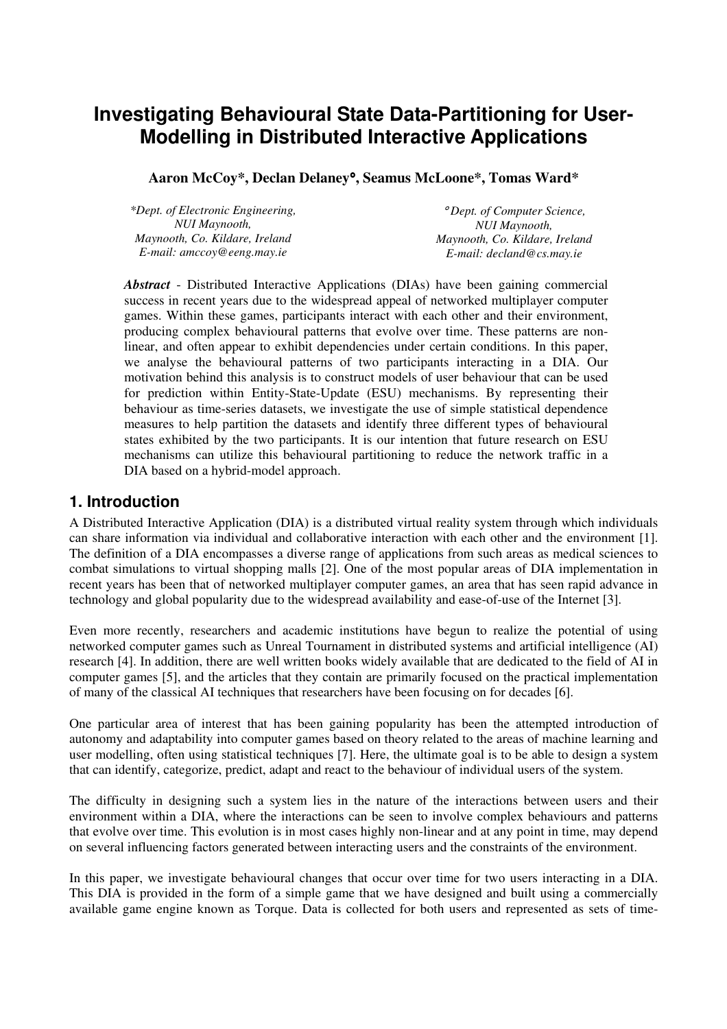# **Investigating Behavioural State Data-Partitioning for User-Modelling in Distributed Interactive Applications**

**Aaron McCoy\*, Declan Delaney**°**, Seamus McLoone\*, Tomas Ward\***

*\*Dept. of Electronic Engineering, NUI Maynooth, Maynooth, Co. Kildare, Ireland E-mail: amccoy@eeng.may.ie*

° *Dept. of Computer Science, NUI Maynooth, Maynooth, Co. Kildare, Ireland E-mail: decland@cs.may.ie*

*Abstract* - Distributed Interactive Applications (DIAs) have been gaining commercial success in recent years due to the widespread appeal of networked multiplayer computer games. Within these games, participants interact with each other and their environment, producing complex behavioural patterns that evolve over time. These patterns are nonlinear, and often appear to exhibit dependencies under certain conditions. In this paper, we analyse the behavioural patterns of two participants interacting in a DIA. Our motivation behind this analysis is to construct models of user behaviour that can be used for prediction within Entity-State-Update (ESU) mechanisms. By representing their behaviour as time-series datasets, we investigate the use of simple statistical dependence measures to help partition the datasets and identify three different types of behavioural states exhibited by the two participants. It is our intention that future research on ESU mechanisms can utilize this behavioural partitioning to reduce the network traffic in a DIA based on a hybrid-model approach.

# **1. Introduction**

A Distributed Interactive Application (DIA) is a distributed virtual reality system through which individuals can share information via individual and collaborative interaction with each other and the environment [1]. The definition of a DIA encompasses a diverse range of applications from such areas as medical sciences to combat simulations to virtual shopping malls [2]. One of the most popular areas of DIA implementation in recent years has been that of networked multiplayer computer games, an area that has seen rapid advance in technology and global popularity due to the widespread availability and ease-of-use of the Internet [3].

Even more recently, researchers and academic institutions have begun to realize the potential of using networked computer games such as Unreal Tournament in distributed systems and artificial intelligence (AI) research [4]. In addition, there are well written books widely available that are dedicated to the field of AI in computer games [5], and the articles that they contain are primarily focused on the practical implementation of many of the classical AI techniques that researchers have been focusing on for decades [6].

One particular area of interest that has been gaining popularity has been the attempted introduction of autonomy and adaptability into computer games based on theory related to the areas of machine learning and user modelling, often using statistical techniques [7]. Here, the ultimate goal is to be able to design a system that can identify, categorize, predict, adapt and react to the behaviour of individual users of the system.

The difficulty in designing such a system lies in the nature of the interactions between users and their environment within a DIA, where the interactions can be seen to involve complex behaviours and patterns that evolve over time. This evolution is in most cases highly non-linear and at any point in time, may depend on several influencing factors generated between interacting users and the constraints of the environment.

In this paper, we investigate behavioural changes that occur over time for two users interacting in a DIA. This DIA is provided in the form of a simple game that we have designed and built using a commercially available game engine known as Torque. Data is collected for both users and represented as sets of time-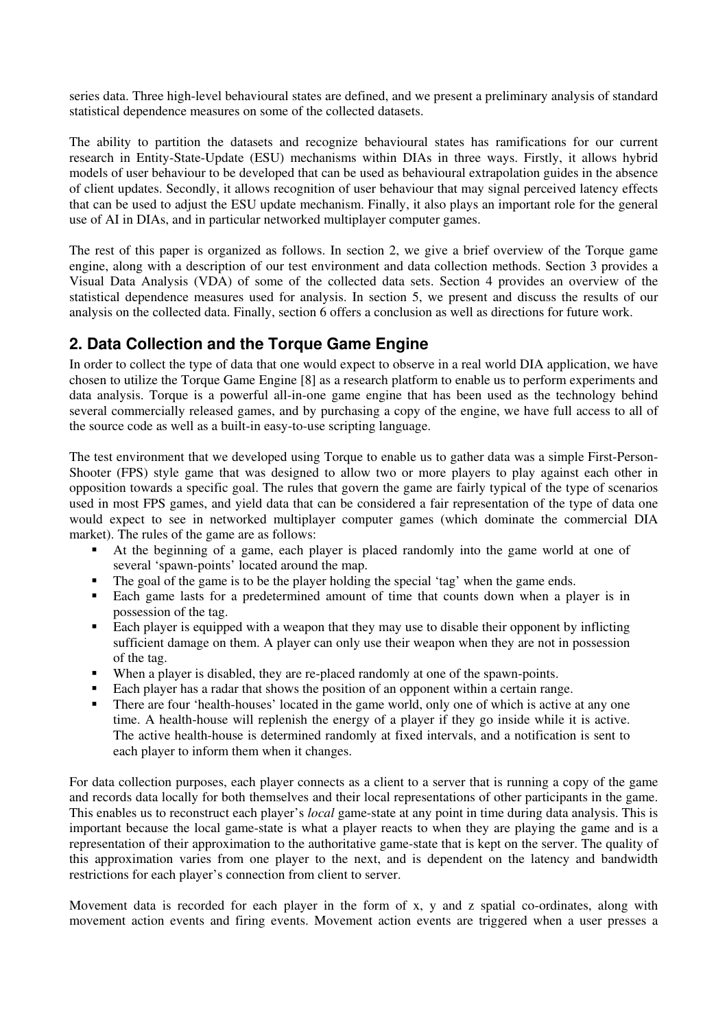series data. Three high-level behavioural states are defined, and we present a preliminary analysis of standard statistical dependence measures on some of the collected datasets.

The ability to partition the datasets and recognize behavioural states has ramifications for our current research in Entity-State-Update (ESU) mechanisms within DIAs in three ways. Firstly, it allows hybrid models of user behaviour to be developed that can be used as behavioural extrapolation guides in the absence of client updates. Secondly, it allows recognition of user behaviour that may signal perceived latency effects that can be used to adjust the ESU update mechanism. Finally, it also plays an important role for the general use of AI in DIAs, and in particular networked multiplayer computer games.

The rest of this paper is organized as follows. In section 2, we give a brief overview of the Torque game engine, along with a description of our test environment and data collection methods. Section 3 provides a Visual Data Analysis (VDA) of some of the collected data sets. Section 4 provides an overview of the statistical dependence measures used for analysis. In section 5, we present and discuss the results of our analysis on the collected data. Finally, section 6 offers a conclusion as well as directions for future work.

# **2. Data Collection and the Torque Game Engine**

In order to collect the type of data that one would expect to observe in a real world DIA application, we have chosen to utilize the Torque Game Engine [8] as a research platform to enable us to perform experiments and data analysis. Torque is a powerful all-in-one game engine that has been used as the technology behind several commercially released games, and by purchasing a copy of the engine, we have full access to all of the source code as well as a built-in easy-to-use scripting language.

The test environment that we developed using Torque to enable us to gather data was a simple First-Person-Shooter (FPS) style game that was designed to allow two or more players to play against each other in opposition towards a specific goal. The rules that govern the game are fairly typical of the type of scenarios used in most FPS games, and yield data that can be considered a fair representation of the type of data one would expect to see in networked multiplayer computer games (which dominate the commercial DIA market). The rules of the game are as follows:

- At the beginning of a game, each player is placed randomly into the game world at one of several 'spawn-points' located around the map.
- The goal of the game is to be the player holding the special 'tag' when the game ends.<br>Each game lasts for a predetermined amount of time that counts down when a pla
- Each game lasts for a predetermined amount of time that counts down when a player is in possession of the tag.
- Each player is equipped with a weapon that they may use to disable their opponent by inflicting sufficient damage on them. A player can only use their weapon when they are not in possession of the tag.
- When a player is disabled, they are re-placed randomly at one of the spawn-points.
- Each player has a radar that shows the position of an opponent within a certain range.
- There are four 'health-houses' located in the game world, only one of which is active at any one time. A health-house will replenish the energy of a player if they go inside while it is active. The active health-house is determined randomly at fixed intervals, and a notification is sent to each player to inform them when it changes.

For data collection purposes, each player connects as a client to a server that is running a copy of the game and records data locally for both themselves and their local representations of other participants in the game. This enables us to reconstruct each player's *local* game-state at any point in time during data analysis. This is important because the local game-state is what a player reacts to when they are playing the game and is a representation of their approximation to the authoritative game-state that is kept on the server. The quality of this approximation varies from one player to the next, and is dependent on the latency and bandwidth restrictions for each player's connection from client to server.

Movement data is recorded for each player in the form of x, y and z spatial co-ordinates, along with movement action events and firing events. Movement action events are triggered when a user presses a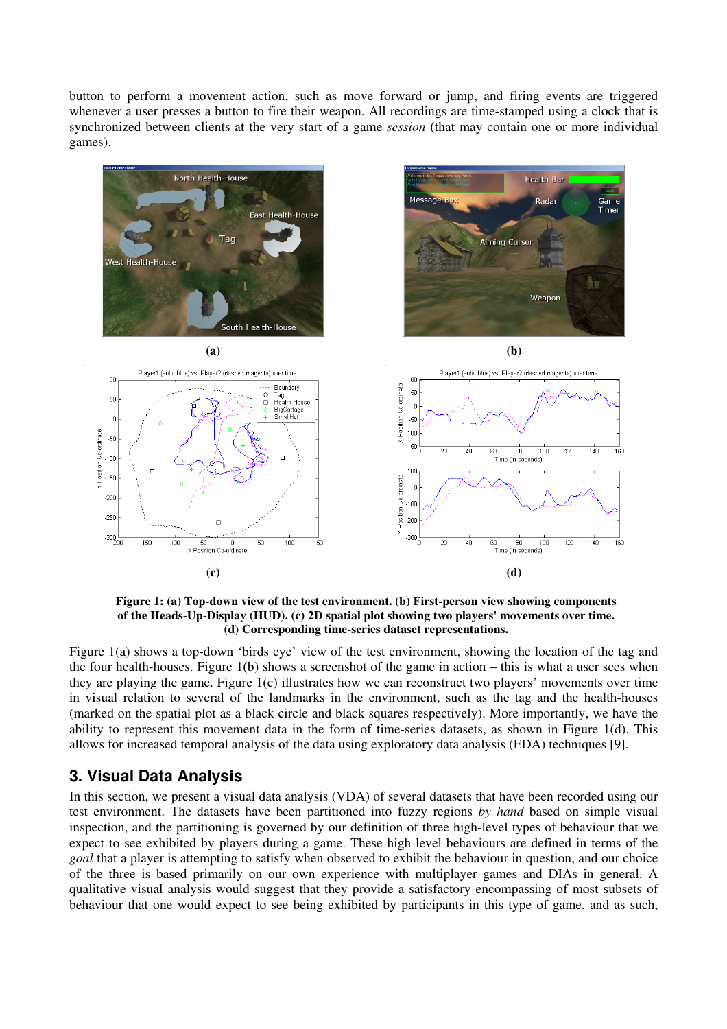button to perform a movement action, such as move forward or jump, and firing events are triggered whenever a user presses a button to fire their weapon. All recordings are time-stamped using a clock that is synchronized between clients at the very start of a game *session* (that may contain one or more individual games).



**Figure 1: (a) Top-down view of the test environment. (b) First-person view showing components of the Heads-Up-Display (HUD). (c) 2D spatial plot showing two players' movements over time. (d) Corresponding time-series dataset representations.**

Figure 1(a) shows a top-down 'birds eye' view of the test environment, showing the location of the tag and the four health-houses. Figure 1(b) shows a screenshot of the game in action – this is what a user sees when they are playing the game. Figure 1(c) illustrates how we can reconstruct two players' movements over time in visual relation to several of the landmarks in the environment, such as the tag and the health-houses (marked on the spatial plot as a black circle and black squares respectively). More importantly, we have the ability to represent this movement data in the form of time-series datasets, as shown in Figure 1(d). This allows for increased temporal analysis of the data using exploratory data analysis (EDA) techniques [9].

# **3. Visual Data Analysis**

In this section, we present a visual data analysis (VDA) of several datasets that have been recorded using our test environment. The datasets have been partitioned into fuzzy regions *by hand* based on simple visual inspection, and the partitioning is governed by our definition of three high-level types of behaviour that we expect to see exhibited by players during a game. These high-level behaviours are defined in terms of the *goal* that a player is attempting to satisfy when observed to exhibit the behaviour in question, and our choice of the three is based primarily on our own experience with multiplayer games and DIAs in general. A qualitative visual analysis would suggest that they provide a satisfactory encompassing of most subsets of behaviour that one would expect to see being exhibited by participants in this type of game, and as such,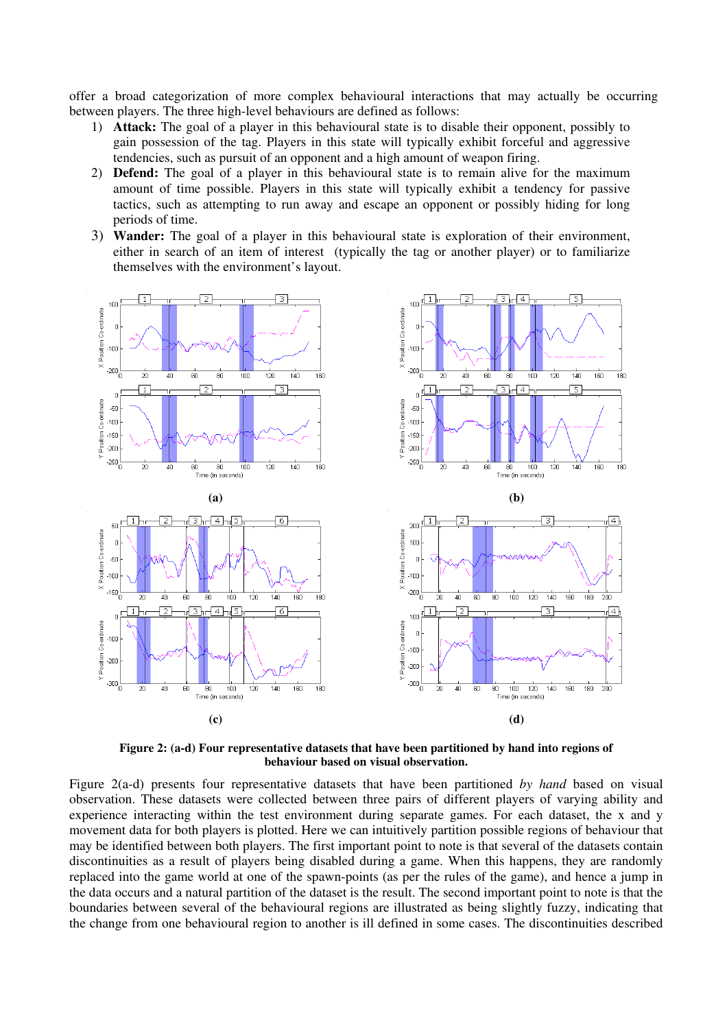offer a broad categorization of more complex behavioural interactions that may actually be occurring between players. The three high-level behaviours are defined as follows:

- 1) **Attack:** The goal of a player in this behavioural state is to disable their opponent, possibly to gain possession of the tag. Players in this state will typically exhibit forceful and aggressive tendencies, such as pursuit of an opponent and a high amount of weapon firing.
- 2) **Defend:** The goal of a player in this behavioural state is to remain alive for the maximum amount of time possible. Players in this state will typically exhibit a tendency for passive tactics, such as attempting to run away and escape an opponent or possibly hiding for long periods of time.
- 3) **Wander:** The goal of a player in this behavioural state is exploration of their environment, either in search of an item of interest (typically the tag or another player) or to familiarize themselves with the environment's layout.



**Figure 2: (a-d) Four representative datasets that have been partitioned by hand into regions of behaviour based on visual observation.**

Figure 2(a-d) presents four representative datasets that have been partitioned *by hand* based on visual observation. These datasets were collected between three pairs of different players of varying ability and experience interacting within the test environment during separate games. For each dataset, the x and y movement data for both players is plotted. Here we can intuitively partition possible regions of behaviour that may be identified between both players. The first important point to note is that several of the datasets contain discontinuities as a result of players being disabled during a game. When this happens, they are randomly replaced into the game world at one of the spawn-points (as per the rules of the game), and hence a jump in the data occurs and a natural partition of the dataset is the result. The second important point to note is that the boundaries between several of the behavioural regions are illustrated as being slightly fuzzy, indicating that the change from one behavioural region to another is ill defined in some cases. The discontinuities described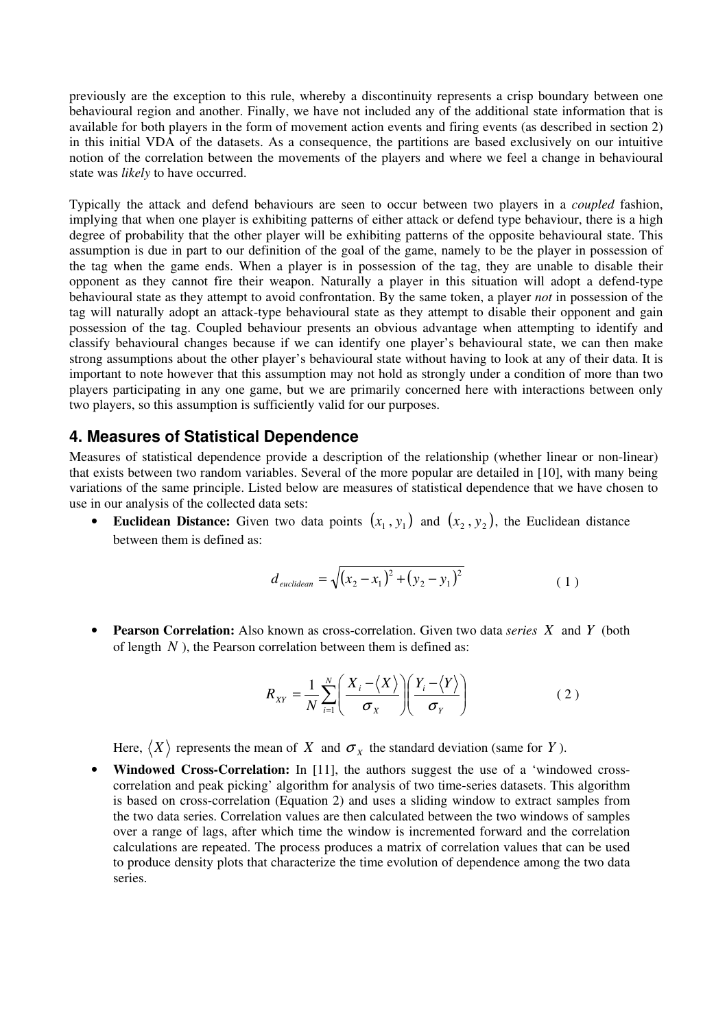previously are the exception to this rule, whereby a discontinuity represents a crisp boundary between one behavioural region and another. Finally, we have not included any of the additional state information that is available for both players in the form of movement action events and firing events (as described in section 2) in this initial VDA of the datasets. As a consequence, the partitions are based exclusively on our intuitive notion of the correlation between the movements of the players and where we feel a change in behavioural state was *likely* to have occurred.

Typically the attack and defend behaviours are seen to occur between two players in a *coupled* fashion, implying that when one player is exhibiting patterns of either attack or defend type behaviour, there is a high degree of probability that the other player will be exhibiting patterns of the opposite behavioural state. This assumption is due in part to our definition of the goal of the game, namely to be the player in possession of the tag when the game ends. When a player is in possession of the tag, they are unable to disable their opponent as they cannot fire their weapon. Naturally a player in this situation will adopt a defend-type behavioural state as they attempt to avoid confrontation. By the same token, a player *not* in possession of the tag will naturally adopt an attack-type behavioural state as they attempt to disable their opponent and gain possession of the tag. Coupled behaviour presents an obvious advantage when attempting to identify and classify behavioural changes because if we can identify one player's behavioural state, we can then make strong assumptions about the other player's behavioural state without having to look at any of their data. It is important to note however that this assumption may not hold as strongly under a condition of more than two players participating in any one game, but we are primarily concerned here with interactions between only two players, so this assumption is sufficiently valid for our purposes.

### **4. Measures of Statistical Dependence**

Measures of statistical dependence provide a description of the relationship (whether linear or non-linear) that exists between two random variables. Several of the more popular are detailed in [10], with many being variations of the same principle. Listed below are measures of statistical dependence that we have chosen to use in our analysis of the collected data sets:

• **Euclidean Distance:** Given two data points  $(x_1, y_1)$  and  $(x_2, y_2)$ , the Euclidean distance between them is defined as:

$$
d_{\text{euclidean}} = \sqrt{(x_2 - x_1)^2 + (y_2 - y_1)^2}
$$
 (1)

• **Pearson Correlation:** Also known as cross-correlation. Given two data *series X* and *Y* (both of length  $N$ ), the Pearson correlation between them is defined as:

$$
R_{XY} = \frac{1}{N} \sum_{i=1}^{N} \left( \frac{X_i - \langle X \rangle}{\sigma_X} \right) \left( \frac{Y_i - \langle Y \rangle}{\sigma_Y} \right) \tag{2}
$$

Here,  $\langle X \rangle$  represents the mean of  $X$  and  $\sigma_X$  the standard deviation (same for *Y*).

• **Windowed Cross-Correlation:** In [11], the authors suggest the use of a 'windowed crosscorrelation and peak picking' algorithm for analysis of two time-series datasets. This algorithm is based on cross-correlation (Equation 2) and uses a sliding window to extract samples from the two data series. Correlation values are then calculated between the two windows of samples over a range of lags, after which time the window is incremented forward and the correlation calculations are repeated. The process produces a matrix of correlation values that can be used to produce density plots that characterize the time evolution of dependence among the two data series.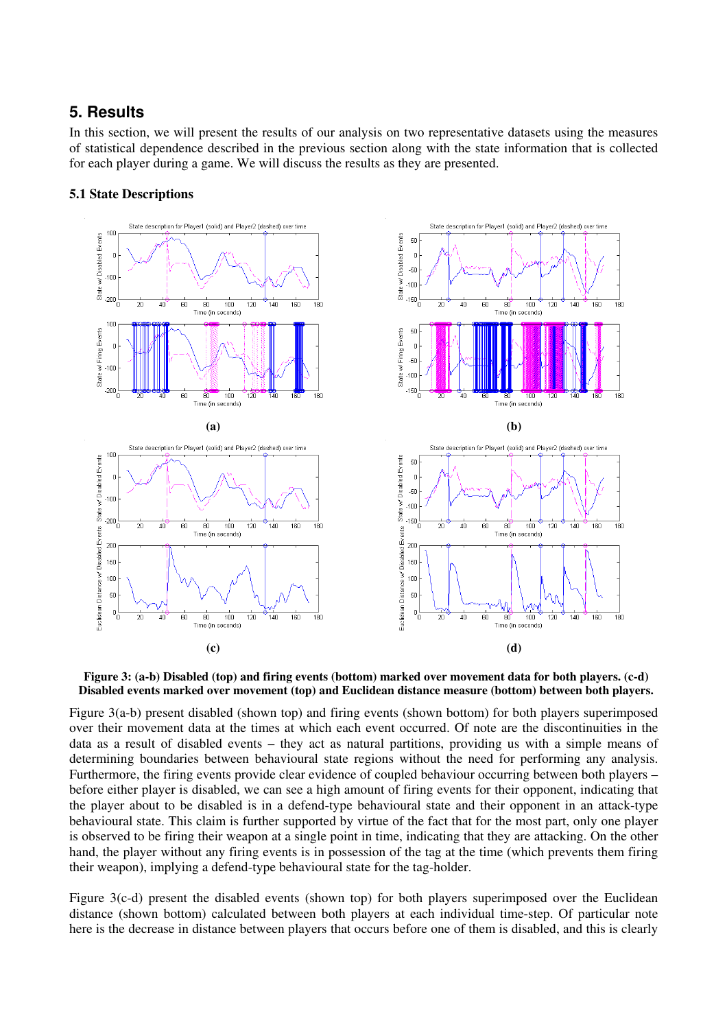# **5. Results**

In this section, we will present the results of our analysis on two representative datasets using the measures of statistical dependence described in the previous section along with the state information that is collected for each player during a game. We will discuss the results as they are presented.

#### **5.1 State Descriptions**



Figure 3: (a-b) Disabled (top) and firing events (bottom) marked over movement data for both players. (c-d) **Disabled events marked over movement (top) and Euclidean distance measure (bottom) between both players.**

Figure 3(a-b) present disabled (shown top) and firing events (shown bottom) for both players superimposed over their movement data at the times at which each event occurred. Of note are the discontinuities in the data as a result of disabled events – they act as natural partitions, providing us with a simple means of determining boundaries between behavioural state regions without the need for performing any analysis. Furthermore, the firing events provide clear evidence of coupled behaviour occurring between both players – before either player is disabled, we can see a high amount of firing events for their opponent, indicating that the player about to be disabled is in a defend-type behavioural state and their opponent in an attack-type behavioural state. This claim is further supported by virtue of the fact that for the most part, only one player is observed to be firing their weapon at a single point in time, indicating that they are attacking. On the other hand, the player without any firing events is in possession of the tag at the time (which prevents them firing their weapon), implying a defend-type behavioural state for the tag-holder.

Figure 3(c-d) present the disabled events (shown top) for both players superimposed over the Euclidean distance (shown bottom) calculated between both players at each individual time-step. Of particular note here is the decrease in distance between players that occurs before one of them is disabled, and this is clearly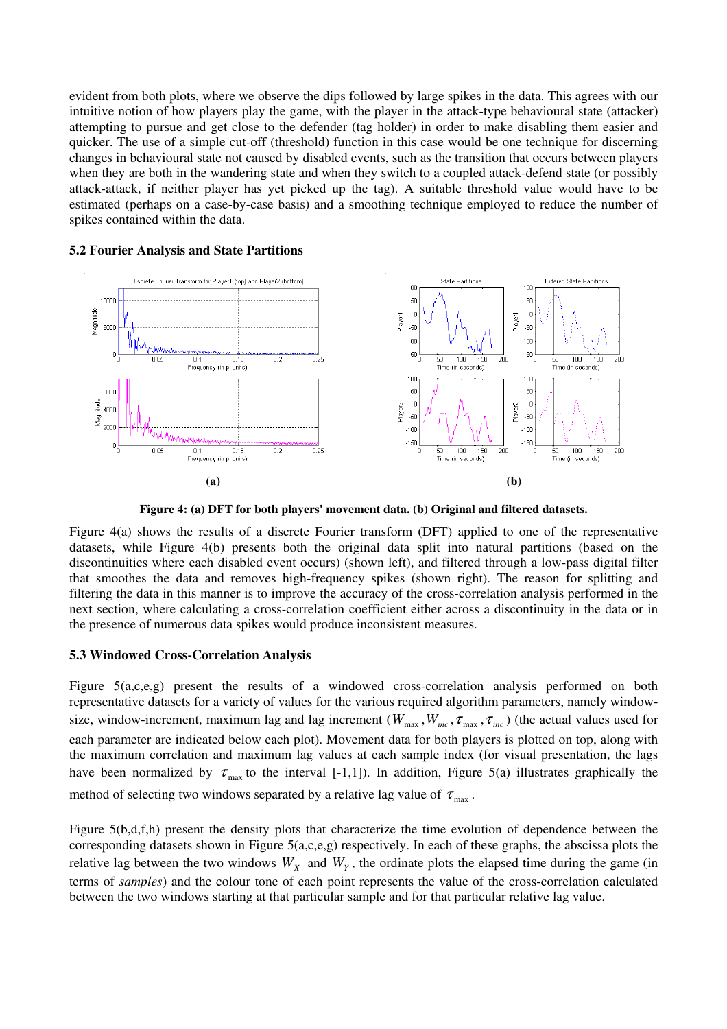evident from both plots, where we observe the dips followed by large spikes in the data. This agrees with our intuitive notion of how players play the game, with the player in the attack-type behavioural state (attacker) attempting to pursue and get close to the defender (tag holder) in order to make disabling them easier and quicker. The use of a simple cut-off (threshold) function in this case would be one technique for discerning changes in behavioural state not caused by disabled events, such as the transition that occurs between players when they are both in the wandering state and when they switch to a coupled attack-defend state (or possibly attack-attack, if neither player has yet picked up the tag). A suitable threshold value would have to be estimated (perhaps on a case-by-case basis) and a smoothing technique employed to reduce the number of spikes contained within the data.

#### **5.2 Fourier Analysis and State Partitions**



**Figure 4: (a) DFT for both players' movement data. (b) Original and filtered datasets.**

Figure 4(a) shows the results of a discrete Fourier transform (DFT) applied to one of the representative datasets, while Figure 4(b) presents both the original data split into natural partitions (based on the discontinuities where each disabled event occurs) (shown left), and filtered through a low-pass digital filter that smoothes the data and removes high-frequency spikes (shown right). The reason for splitting and filtering the data in this manner is to improve the accuracy of the cross-correlation analysis performed in the next section, where calculating a cross-correlation coefficient either across a discontinuity in the data or in the presence of numerous data spikes would produce inconsistent measures.

#### **5.3 Windowed Cross-Correlation Analysis**

Figure 5(a,c,e,g) present the results of a windowed cross-correlation analysis performed on both representative datasets for a variety of values for the various required algorithm parameters, namely windowsize, window-increment, maximum lag and lag increment ( $W_{\text{max}}$ ,  $W_{\text{inc}}$ ,  $\tau_{\text{max}}$ ,  $\tau_{\text{inc}}$ ) (the actual values used for each parameter are indicated below each plot). Movement data for both players is plotted on top, along with the maximum correlation and maximum lag values at each sample index (for visual presentation, the lags have been normalized by  $\tau_{\text{max}}$  to the interval [-1,1]). In addition, Figure 5(a) illustrates graphically the method of selecting two windows separated by a relative lag value of  $\tau_{\text{max}}$ .

Figure 5(b,d,f,h) present the density plots that characterize the time evolution of dependence between the corresponding datasets shown in Figure 5(a,c,e,g) respectively. In each of these graphs, the abscissa plots the relative lag between the two windows  $W_X$  and  $W_Y$ , the ordinate plots the elapsed time during the game (in terms of *samples*) and the colour tone of each point represents the value of the cross-correlation calculated between the two windows starting at that particular sample and for that particular relative lag value.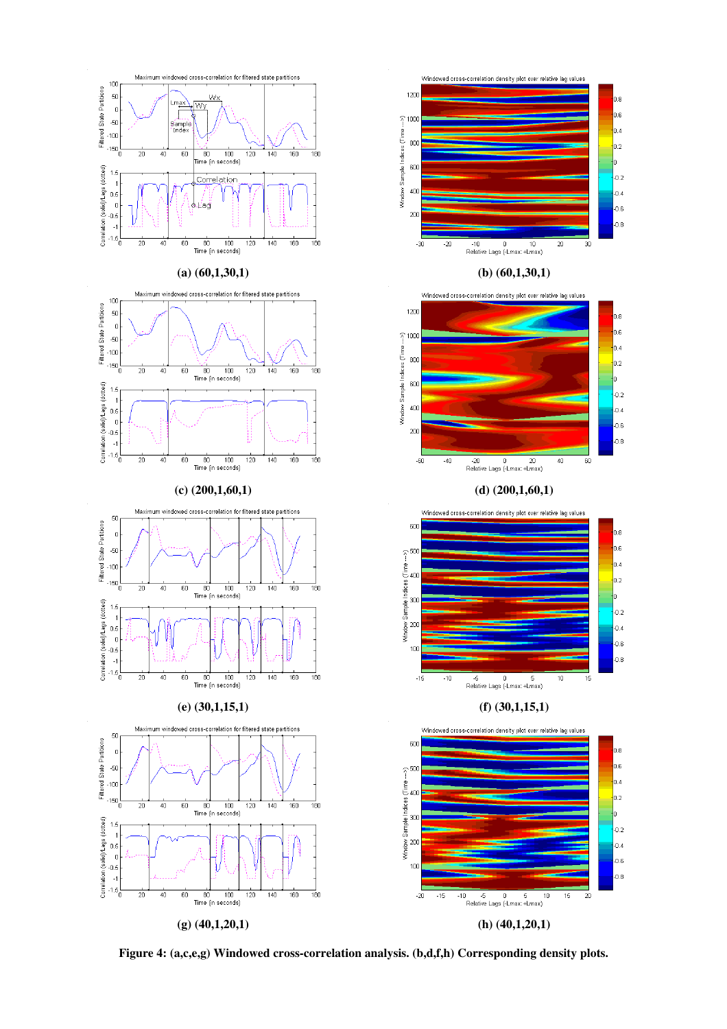

**(g) (40,1,20,1) (h) (40,1,20,1)**

**Figure 4: (a,c,e,g) Windowed cross-correlation analysis. (b,d,f,h) Corresponding density plots.**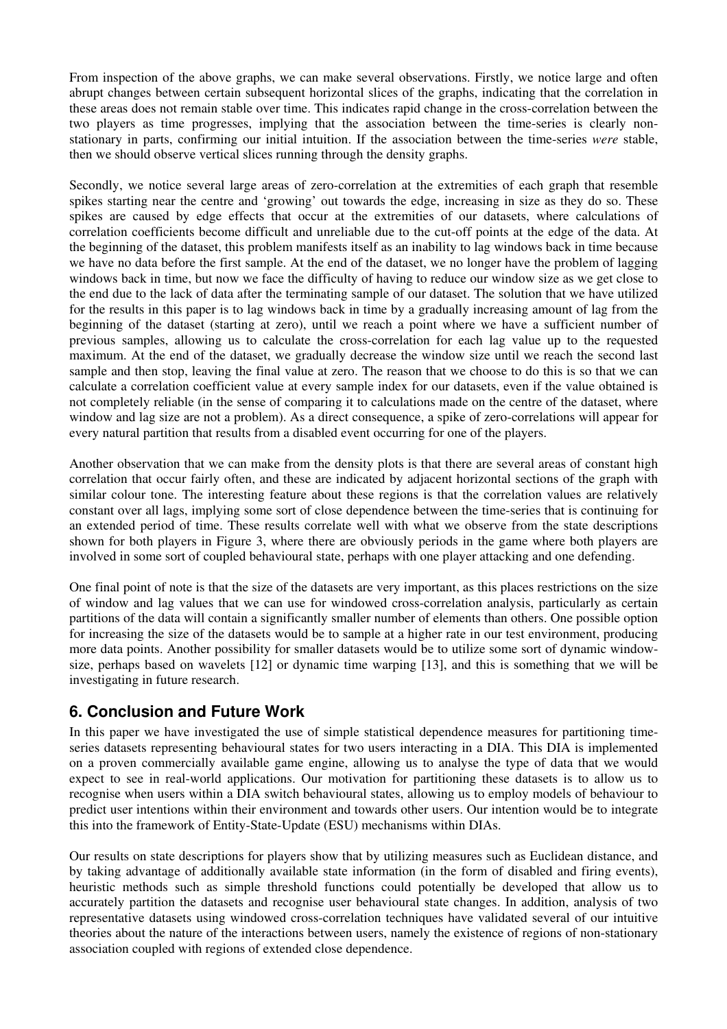From inspection of the above graphs, we can make several observations. Firstly, we notice large and often abrupt changes between certain subsequent horizontal slices of the graphs, indicating that the correlation in these areas does not remain stable over time. This indicates rapid change in the cross-correlation between the two players as time progresses, implying that the association between the time-series is clearly nonstationary in parts, confirming our initial intuition. If the association between the time-series *were* stable, then we should observe vertical slices running through the density graphs.

Secondly, we notice several large areas of zero-correlation at the extremities of each graph that resemble spikes starting near the centre and 'growing' out towards the edge, increasing in size as they do so. These spikes are caused by edge effects that occur at the extremities of our datasets, where calculations of correlation coefficients become difficult and unreliable due to the cut-off points at the edge of the data. At the beginning of the dataset, this problem manifests itself as an inability to lag windows back in time because we have no data before the first sample. At the end of the dataset, we no longer have the problem of lagging windows back in time, but now we face the difficulty of having to reduce our window size as we get close to the end due to the lack of data after the terminating sample of our dataset. The solution that we have utilized for the results in this paper is to lag windows back in time by a gradually increasing amount of lag from the beginning of the dataset (starting at zero), until we reach a point where we have a sufficient number of previous samples, allowing us to calculate the cross-correlation for each lag value up to the requested maximum. At the end of the dataset, we gradually decrease the window size until we reach the second last sample and then stop, leaving the final value at zero. The reason that we choose to do this is so that we can calculate a correlation coefficient value at every sample index for our datasets, even if the value obtained is not completely reliable (in the sense of comparing it to calculations made on the centre of the dataset, where window and lag size are not a problem). As a direct consequence, a spike of zero-correlations will appear for every natural partition that results from a disabled event occurring for one of the players.

Another observation that we can make from the density plots is that there are several areas of constant high correlation that occur fairly often, and these are indicated by adjacent horizontal sections of the graph with similar colour tone. The interesting feature about these regions is that the correlation values are relatively constant over all lags, implying some sort of close dependence between the time-series that is continuing for an extended period of time. These results correlate well with what we observe from the state descriptions shown for both players in Figure 3, where there are obviously periods in the game where both players are involved in some sort of coupled behavioural state, perhaps with one player attacking and one defending.

One final point of note is that the size of the datasets are very important, as this places restrictions on the size of window and lag values that we can use for windowed cross-correlation analysis, particularly as certain partitions of the data will contain a significantly smaller number of elements than others. One possible option for increasing the size of the datasets would be to sample at a higher rate in our test environment, producing more data points. Another possibility for smaller datasets would be to utilize some sort of dynamic windowsize, perhaps based on wavelets [12] or dynamic time warping [13], and this is something that we will be investigating in future research.

# **6. Conclusion and Future Work**

In this paper we have investigated the use of simple statistical dependence measures for partitioning timeseries datasets representing behavioural states for two users interacting in a DIA. This DIA is implemented on a proven commercially available game engine, allowing us to analyse the type of data that we would expect to see in real-world applications. Our motivation for partitioning these datasets is to allow us to recognise when users within a DIA switch behavioural states, allowing us to employ models of behaviour to predict user intentions within their environment and towards other users. Our intention would be to integrate this into the framework of Entity-State-Update (ESU) mechanisms within DIAs.

Our results on state descriptions for players show that by utilizing measures such as Euclidean distance, and by taking advantage of additionally available state information (in the form of disabled and firing events), heuristic methods such as simple threshold functions could potentially be developed that allow us to accurately partition the datasets and recognise user behavioural state changes. In addition, analysis of two representative datasets using windowed cross-correlation techniques have validated several of our intuitive theories about the nature of the interactions between users, namely the existence of regions of non-stationary association coupled with regions of extended close dependence.